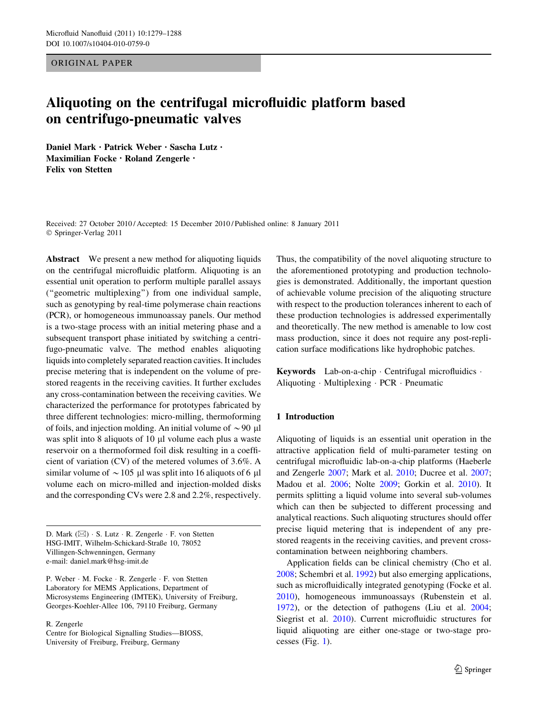ORIGINAL PAPER

# Aliquoting on the centrifugal microfluidic platform based on centrifugo-pneumatic valves

Daniel Mark • Patrick Weber • Sascha Lutz • Maximilian Focke • Roland Zengerle • Felix von Stetten

Received: 27 October 2010 / Accepted: 15 December 2010 / Published online: 8 January 2011 © Springer-Verlag 2011

Abstract We present a new method for aliquoting liquids on the centrifugal microfluidic platform. Aliquoting is an essential unit operation to perform multiple parallel assays (''geometric multiplexing'') from one individual sample, such as genotyping by real-time polymerase chain reactions (PCR), or homogeneous immunoassay panels. Our method is a two-stage process with an initial metering phase and a subsequent transport phase initiated by switching a centrifugo-pneumatic valve. The method enables aliquoting liquids into completely separated reaction cavities. It includes precise metering that is independent on the volume of prestored reagents in the receiving cavities. It further excludes any cross-contamination between the receiving cavities. We characterized the performance for prototypes fabricated by three different technologies: micro-milling, thermoforming of foils, and injection molding. An initial volume of  $\sim$  90 µl was split into 8 aliquots of  $10 \mu l$  volume each plus a waste reservoir on a thermoformed foil disk resulting in a coefficient of variation (CV) of the metered volumes of 3.6%. A similar volume of  $\sim$  105 µl was split into 16 aliquots of 6 µl volume each on micro-milled and injection-molded disks and the corresponding CVs were 2.8 and 2.2%, respectively.

D. Mark (⊠) · S. Lutz · R. Zengerle · F. von Stetten HSG-IMIT, Wilhelm-Schickard-Straße 10, 78052 Villingen-Schwenningen, Germany e-mail: daniel.mark@hsg-imit.de

P. Weber · M. Focke · R. Zengerle · F. von Stetten Laboratory for MEMS Applications, Department of Microsystems Engineering (IMTEK), University of Freiburg, Georges-Koehler-Allee 106, 79110 Freiburg, Germany

R. Zengerle

Centre for Biological Signalling Studies—BIOSS, University of Freiburg, Freiburg, Germany

Thus, the compatibility of the novel aliquoting structure to the aforementioned prototyping and production technologies is demonstrated. Additionally, the important question of achievable volume precision of the aliquoting structure with respect to the production tolerances inherent to each of these production technologies is addressed experimentally and theoretically. The new method is amenable to low cost mass production, since it does not require any post-replication surface modifications like hydrophobic patches.

Keywords Lab-on-a-chip - Centrifugal microfluidics - Aliquoting - Multiplexing - PCR - Pneumatic

#### 1 Introduction

Aliquoting of liquids is an essential unit operation in the attractive application field of multi-parameter testing on centrifugal microfluidic lab-on-a-chip platforms (Haeberle and Zengerle [2007](#page-8-0); Mark et al. [2010;](#page-8-0) Ducree et al. [2007](#page-8-0); Madou et al. [2006;](#page-8-0) Nolte [2009](#page-8-0); Gorkin et al. [2010\)](#page-8-0). It permits splitting a liquid volume into several sub-volumes which can then be subjected to different processing and analytical reactions. Such aliquoting structures should offer precise liquid metering that is independent of any prestored reagents in the receiving cavities, and prevent crosscontamination between neighboring chambers.

Application fields can be clinical chemistry (Cho et al. [2008](#page-8-0); Schembri et al. [1992\)](#page-8-0) but also emerging applications, such as microfluidically integrated genotyping (Focke et al. [2010](#page-8-0)), homogeneous immunoassays (Rubenstein et al. [1972](#page-8-0)), or the detection of pathogens (Liu et al. [2004](#page-8-0); Siegrist et al. [2010\)](#page-9-0). Current microfluidic structures for liquid aliquoting are either one-stage or two-stage processes (Fig. [1\)](#page-1-0).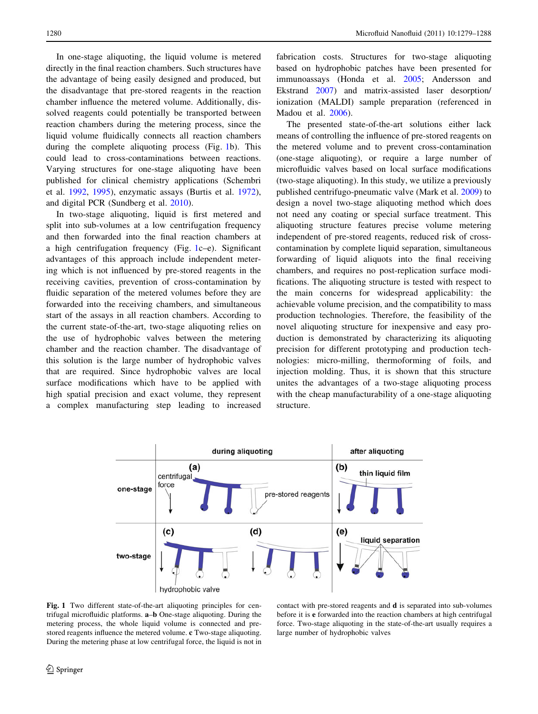<span id="page-1-0"></span>In one-stage aliquoting, the liquid volume is metered directly in the final reaction chambers. Such structures have the advantage of being easily designed and produced, but the disadvantage that pre-stored reagents in the reaction chamber influence the metered volume. Additionally, dissolved reagents could potentially be transported between reaction chambers during the metering process, since the liquid volume fluidically connects all reaction chambers during the complete aliquoting process (Fig. 1b). This could lead to cross-contaminations between reactions. Varying structures for one-stage aliquoting have been published for clinical chemistry applications (Schembri et al. [1992,](#page-8-0) [1995](#page-8-0)), enzymatic assays (Burtis et al. [1972](#page-8-0)), and digital PCR (Sundberg et al. [2010\)](#page-9-0).

In two-stage aliquoting, liquid is first metered and split into sub-volumes at a low centrifugation frequency and then forwarded into the final reaction chambers at a high centrifugation frequency (Fig. 1c–e). Significant advantages of this approach include independent metering which is not influenced by pre-stored reagents in the receiving cavities, prevention of cross-contamination by fluidic separation of the metered volumes before they are forwarded into the receiving chambers, and simultaneous start of the assays in all reaction chambers. According to the current state-of-the-art, two-stage aliquoting relies on the use of hydrophobic valves between the metering chamber and the reaction chamber. The disadvantage of this solution is the large number of hydrophobic valves that are required. Since hydrophobic valves are local surface modifications which have to be applied with high spatial precision and exact volume, they represent a complex manufacturing step leading to increased fabrication costs. Structures for two-stage aliquoting based on hydrophobic patches have been presented for immunoassays (Honda et al. [2005;](#page-8-0) Andersson and Ekstrand [2007\)](#page-8-0) and matrix-assisted laser desorption/ ionization (MALDI) sample preparation (referenced in Madou et al. [2006\)](#page-8-0).

The presented state-of-the-art solutions either lack means of controlling the influence of pre-stored reagents on the metered volume and to prevent cross-contamination (one-stage aliquoting), or require a large number of microfluidic valves based on local surface modifications (two-stage aliquoting). In this study, we utilize a previously published centrifugo-pneumatic valve (Mark et al. [2009\)](#page-8-0) to design a novel two-stage aliquoting method which does not need any coating or special surface treatment. This aliquoting structure features precise volume metering independent of pre-stored reagents, reduced risk of crosscontamination by complete liquid separation, simultaneous forwarding of liquid aliquots into the final receiving chambers, and requires no post-replication surface modifications. The aliquoting structure is tested with respect to the main concerns for widespread applicability: the achievable volume precision, and the compatibility to mass production technologies. Therefore, the feasibility of the novel aliquoting structure for inexpensive and easy production is demonstrated by characterizing its aliquoting precision for different prototyping and production technologies: micro-milling, thermoforming of foils, and injection molding. Thus, it is shown that this structure unites the advantages of a two-stage aliquoting process with the cheap manufacturability of a one-stage aliquoting structure.



Fig. 1 Two different state-of-the-art aliquoting principles for centrifugal microfluidic platforms. a–b One-stage aliquoting. During the metering process, the whole liquid volume is connected and prestored reagents influence the metered volume. c Two-stage aliquoting. During the metering phase at low centrifugal force, the liquid is not in

contact with pre-stored reagents and d is separated into sub-volumes before it is e forwarded into the reaction chambers at high centrifugal force. Two-stage aliquoting in the state-of-the-art usually requires a large number of hydrophobic valves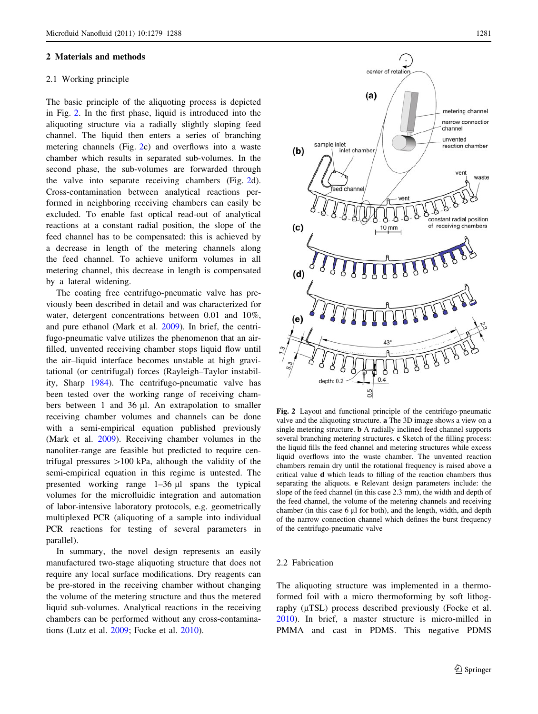#### <span id="page-2-0"></span>2 Materials and methods

# 2.1 Working principle

The basic principle of the aliquoting process is depicted in Fig. 2. In the first phase, liquid is introduced into the aliquoting structure via a radially slightly sloping feed channel. The liquid then enters a series of branching metering channels (Fig. 2c) and overflows into a waste chamber which results in separated sub-volumes. In the second phase, the sub-volumes are forwarded through the valve into separate receiving chambers (Fig. 2d). Cross-contamination between analytical reactions performed in neighboring receiving chambers can easily be excluded. To enable fast optical read-out of analytical reactions at a constant radial position, the slope of the feed channel has to be compensated: this is achieved by a decrease in length of the metering channels along the feed channel. To achieve uniform volumes in all metering channel, this decrease in length is compensated by a lateral widening.

The coating free centrifugo-pneumatic valve has previously been described in detail and was characterized for water, detergent concentrations between 0.01 and 10%, and pure ethanol (Mark et al. [2009\)](#page-8-0). In brief, the centrifugo-pneumatic valve utilizes the phenomenon that an airfilled, unvented receiving chamber stops liquid flow until the air–liquid interface becomes unstable at high gravitational (or centrifugal) forces (Rayleigh–Taylor instability, Sharp [1984](#page-8-0)). The centrifugo-pneumatic valve has been tested over the working range of receiving chambers between 1 and 36  $\mu$ l. An extrapolation to smaller receiving chamber volumes and channels can be done with a semi-empirical equation published previously (Mark et al. [2009](#page-8-0)). Receiving chamber volumes in the nanoliter-range are feasible but predicted to require centrifugal pressures  $>100$  kPa, although the validity of the semi-empirical equation in this regime is untested. The presented working range  $1-36 \mu l$  spans the typical volumes for the microfluidic integration and automation of labor-intensive laboratory protocols, e.g. geometrically multiplexed PCR (aliquoting of a sample into individual PCR reactions for testing of several parameters in parallel).

In summary, the novel design represents an easily manufactured two-stage aliquoting structure that does not require any local surface modifications. Dry reagents can be pre-stored in the receiving chamber without changing the volume of the metering structure and thus the metered liquid sub-volumes. Analytical reactions in the receiving chambers can be performed without any cross-contaminations (Lutz et al. [2009;](#page-8-0) Focke et al. [2010](#page-8-0)).



Fig. 2 Layout and functional principle of the centrifugo-pneumatic valve and the aliquoting structure. a The 3D image shows a view on a single metering structure. b A radially inclined feed channel supports several branching metering structures. c Sketch of the filling process: the liquid fills the feed channel and metering structures while excess liquid overflows into the waste chamber. The unvented reaction chambers remain dry until the rotational frequency is raised above a critical value d which leads to filling of the reaction chambers thus separating the aliquots. e Relevant design parameters include: the slope of the feed channel (in this case 2.3 mm), the width and depth of the feed channel, the volume of the metering channels and receiving chamber (in this case 6  $\mu$ I for both), and the length, width, and depth of the narrow connection channel which defines the burst frequency of the centrifugo-pneumatic valve

#### 2.2 Fabrication

The aliquoting structure was implemented in a thermoformed foil with a micro thermoforming by soft lithography ( $\mu$ TSL) process described previously (Focke et al. [2010](#page-8-0)). In brief, a master structure is micro-milled in PMMA and cast in PDMS. This negative PDMS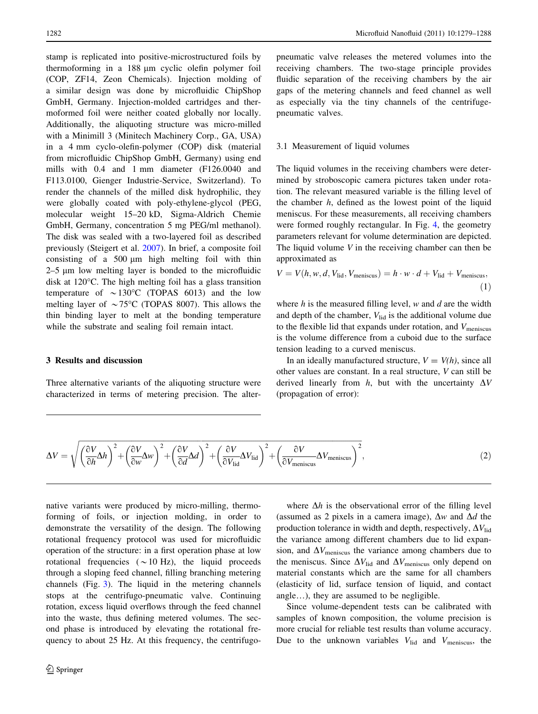<span id="page-3-0"></span>stamp is replicated into positive-microstructured foils by thermoforming in a 188 lm cyclic olefin polymer foil (COP, ZF14, Zeon Chemicals). Injection molding of a similar design was done by microfluidic ChipShop GmbH, Germany. Injection-molded cartridges and thermoformed foil were neither coated globally nor locally. Additionally, the aliquoting structure was micro-milled with a Minimill 3 (Minitech Machinery Corp., GA, USA) in a 4 mm cyclo-olefin-polymer (COP) disk (material from microfluidic ChipShop GmbH, Germany) using end mills with 0.4 and 1 mm diameter (F126.0040 and F113.0100, Gienger Industrie-Service, Switzerland). To render the channels of the milled disk hydrophilic, they were globally coated with poly-ethylene-glycol (PEG, molecular weight 15–20 kD, Sigma-Aldrich Chemie GmbH, Germany, concentration 5 mg PEG/ml methanol). The disk was sealed with a two-layered foil as described previously (Steigert et al. [2007\)](#page-9-0). In brief, a composite foil consisting of a  $500 \mu m$  high melting foil with thin  $2-5$  µm low melting layer is bonded to the microfluidic disk at  $120^{\circ}$ C. The high melting foil has a glass transition temperature of  $\sim 130^{\circ}$ C (TOPAS 6013) and the low melting layer of  $\sim 75^{\circ}$ C (TOPAS 8007). This allows the thin binding layer to melt at the bonding temperature while the substrate and sealing foil remain intact.

# 3 Results and discussion

Three alternative variants of the aliquoting structure were characterized in terms of metering precision. The alterpneumatic valve releases the metered volumes into the receiving chambers. The two-stage principle provides fluidic separation of the receiving chambers by the air gaps of the metering channels and feed channel as well as especially via the tiny channels of the centrifugepneumatic valves.

#### 3.1 Measurement of liquid volumes

The liquid volumes in the receiving chambers were determined by stroboscopic camera pictures taken under rotation. The relevant measured variable is the filling level of the chamber  $h$ , defined as the lowest point of the liquid meniscus. For these measurements, all receiving chambers were formed roughly rectangular. In Fig. [4](#page-4-0), the geometry parameters relevant for volume determination are depicted. The liquid volume  $V$  in the receiving chamber can then be approximated as

$$
V = V(h, w, d, V_{\text{lid}}, V_{\text{meniscus}}) = h \cdot w \cdot d + V_{\text{lid}} + V_{\text{meniscus}},
$$
\n(1)

where  $h$  is the measured filling level,  $w$  and  $d$  are the width and depth of the chamber,  $V_{\text{lid}}$  is the additional volume due to the flexible lid that expands under rotation, and  $V_{\text{meniscus}}$ is the volume difference from a cuboid due to the surface tension leading to a curved meniscus.

In an ideally manufactured structure,  $V = V(h)$ , since all other values are constant. In a real structure, V can still be derived linearly from h, but with the uncertainty  $\Delta V$ (propagation of error):

$$
\Delta V = \sqrt{\left(\frac{\partial V}{\partial h}\Delta h\right)^2 + \left(\frac{\partial V}{\partial w}\Delta w\right)^2 + \left(\frac{\partial V}{\partial d}\Delta d\right)^2 + \left(\frac{\partial V}{\partial V_{\text{lid}}}\Delta V_{\text{lid}}\right)^2 + \left(\frac{\partial V}{\partial V_{\text{meniscus}}}\Delta V_{\text{meniscus}}\right)^2},\tag{2}
$$

native variants were produced by micro-milling, thermoforming of foils, or injection molding, in order to demonstrate the versatility of the design. The following rotational frequency protocol was used for microfluidic operation of the structure: in a first operation phase at low rotational frequencies ( $\sim$  10 Hz), the liquid proceeds through a sloping feed channel, filling branching metering channels (Fig. [3](#page-4-0)). The liquid in the metering channels stops at the centrifugo-pneumatic valve. Continuing rotation, excess liquid overflows through the feed channel into the waste, thus defining metered volumes. The second phase is introduced by elevating the rotational frequency to about 25 Hz. At this frequency, the centrifugo-

where  $\Delta h$  is the observational error of the filling level (assumed as 2 pixels in a camera image),  $\Delta w$  and  $\Delta d$  the production tolerance in width and depth, respectively,  $\Delta V_{\text{lid}}$ the variance among different chambers due to lid expansion, and  $\Delta V_{\text{meniscus}}$  the variance among chambers due to the meniscus. Since  $\Delta V_{\text{lid}}$  and  $\Delta V_{\text{meniscus}}$  only depend on material constants which are the same for all chambers (elasticity of lid, surface tension of liquid, and contact angle…), they are assumed to be negligible.

Since volume-dependent tests can be calibrated with samples of known composition, the volume precision is more crucial for reliable test results than volume accuracy. Due to the unknown variables  $V_{\text{lid}}$  and  $V_{\text{meniscus}}$ , the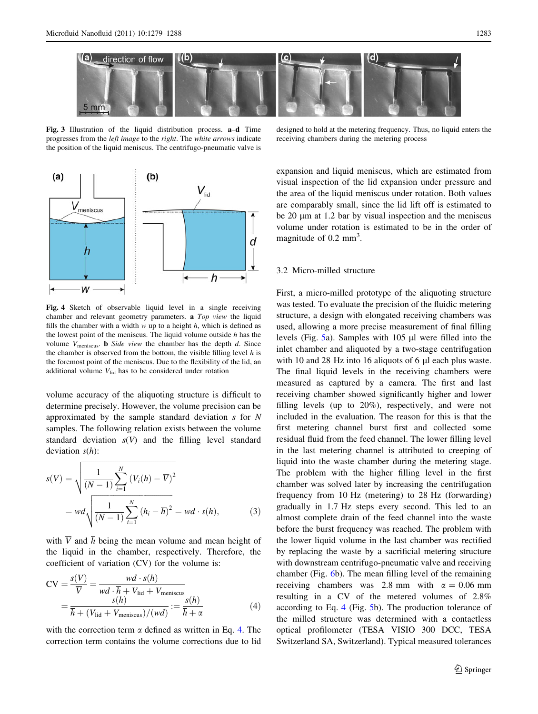<span id="page-4-0"></span>

Fig. 3 Illustration of the liquid distribution process. a–d Time progresses from the left image to the right. The white arrows indicate the position of the liquid meniscus. The centrifugo-pneumatic valve is



Fig. 4 Sketch of observable liquid level in a single receiving chamber and relevant geometry parameters. a Top view the liquid fills the chamber with a width  $w$  up to a height  $h$ , which is defined as the lowest point of the meniscus. The liquid volume outside  $h$  has the volume  $V_{\text{meniscus}}$ . **b** Side view the chamber has the depth  $d$ . Since the chamber is observed from the bottom, the visible filling level  $h$  is the foremost point of the meniscus. Due to the flexibility of the lid, an additional volume  $V_{\text{lid}}$  has to be considered under rotation

volume accuracy of the aliquoting structure is difficult to determine precisely. However, the volume precision can be approximated by the sample standard deviation s for N samples. The following relation exists between the volume standard deviation  $s(V)$  and the filling level standard deviation  $s(h)$ :

$$
s(V) = \sqrt{\frac{1}{(N-1)} \sum_{i=1}^{N} (V_i(h) - \overline{V})^2}
$$
  
= 
$$
wd \sqrt{\frac{1}{(N-1)} \sum_{i=1}^{N} (h_i - \overline{h})^2} = wd \cdot s(h),
$$
 (3)

with  $\overline{V}$  and  $\overline{h}$  being the mean volume and mean height of the liquid in the chamber, respectively. Therefore, the coefficient of variation (CV) for the volume is:

$$
CV = \frac{s(V)}{\overline{V}} = \frac{wd \cdot s(h)}{wd \cdot \overline{h} + V_{\text{lid}} + V_{\text{meniscus}}}
$$
  
= 
$$
\frac{s(h)}{\overline{h} + (V_{\text{lid}} + V_{\text{meniscus}})/(wd)} := \frac{s(h)}{\overline{h} + \alpha}
$$
(4)

with the correction term  $\alpha$  defined as written in Eq. 4. The correction term contains the volume corrections due to lid

designed to hold at the metering frequency. Thus, no liquid enters the receiving chambers during the metering process

expansion and liquid meniscus, which are estimated from visual inspection of the lid expansion under pressure and the area of the liquid meniscus under rotation. Both values are comparably small, since the lid lift off is estimated to be  $20 \mu m$  at 1.2 bar by visual inspection and the meniscus volume under rotation is estimated to be in the order of magnitude of 0.2 mm<sup>3</sup>.

# 3.2 Micro-milled structure

First, a micro-milled prototype of the aliquoting structure was tested. To evaluate the precision of the fluidic metering structure, a design with elongated receiving chambers was used, allowing a more precise measurement of final filling levels (Fig.  $5a$ ). Samples with 105  $\mu$ l were filled into the inlet chamber and aliquoted by a two-stage centrifugation with 10 and 28 Hz into 16 aliquots of 6  $\mu$ l each plus waste. The final liquid levels in the receiving chambers were measured as captured by a camera. The first and last receiving chamber showed significantly higher and lower filling levels (up to 20%), respectively, and were not included in the evaluation. The reason for this is that the first metering channel burst first and collected some residual fluid from the feed channel. The lower filling level in the last metering channel is attributed to creeping of liquid into the waste chamber during the metering stage. The problem with the higher filling level in the first chamber was solved later by increasing the centrifugation frequency from 10 Hz (metering) to 28 Hz (forwarding) gradually in 1.7 Hz steps every second. This led to an almost complete drain of the feed channel into the waste before the burst frequency was reached. The problem with the lower liquid volume in the last chamber was rectified by replacing the waste by a sacrificial metering structure with downstream centrifugo-pneumatic valve and receiving chamber (Fig. [6b](#page-6-0)). The mean filling level of the remaining receiving chambers was 2.8 mm with  $\alpha = 0.06$  mm resulting in a CV of the metered volumes of 2.8% according to Eq. 4 (Fig. [5](#page-5-0)b). The production tolerance of the milled structure was determined with a contactless optical profilometer (TESA VISIO 300 DCC, TESA Switzerland SA, Switzerland). Typical measured tolerances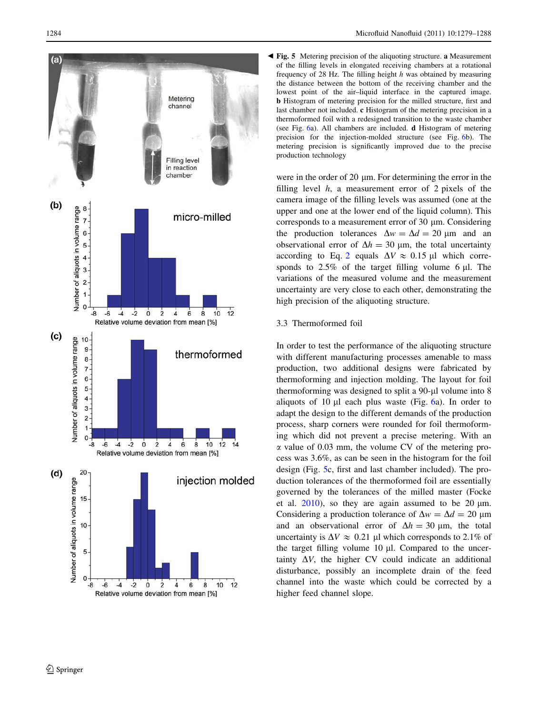<span id="page-5-0"></span>

Fig. 5 Metering precision of the aliquoting structure. a Measurement b of the filling levels in elongated receiving chambers at a rotational frequency of 28 Hz. The filling height h was obtained by measuring the distance between the bottom of the receiving chamber and the lowest point of the air–liquid interface in the captured image. b Histogram of metering precision for the milled structure, first and last chamber not included. c Histogram of the metering precision in a thermoformed foil with a redesigned transition to the waste chamber (see Fig. [6a](#page-6-0)). All chambers are included. d Histogram of metering precision for the injection-molded structure (see Fig. [6b](#page-6-0)). The metering precision is significantly improved due to the precise production technology

were in the order of  $20 \mu m$ . For determining the error in the filling level  $h$ , a measurement error of 2 pixels of the camera image of the filling levels was assumed (one at the upper and one at the lower end of the liquid column). This corresponds to a measurement error of 30  $\mu$ m. Considering the production tolerances  $\Delta w = \Delta d = 20 \text{ }\mu\text{m}$  and an observational error of  $\Delta h = 30 \text{ }\mu\text{m}$ , the total uncertainty according to Eq. [2](#page-3-0) equals  $\Delta V \approx 0.15$  µl which corresponds to  $2.5\%$  of the target filling volume 6  $\mu$ l. The variations of the measured volume and the measurement uncertainty are very close to each other, demonstrating the high precision of the aliquoting structure.

# 3.3 Thermoformed foil

In order to test the performance of the aliquoting structure with different manufacturing processes amenable to mass production, two additional designs were fabricated by thermoforming and injection molding. The layout for foil thermoforming was designed to split a 90-µl volume into 8 aliquots of 10  $\mu$ l each plus waste (Fig. [6](#page-6-0)a). In order to adapt the design to the different demands of the production process, sharp corners were rounded for foil thermoforming which did not prevent a precise metering. With an  $\alpha$  value of 0.03 mm, the volume CV of the metering process was 3.6%, as can be seen in the histogram for the foil design (Fig. 5c, first and last chamber included). The production tolerances of the thermoformed foil are essentially governed by the tolerances of the milled master (Focke et al.  $2010$ ), so they are again assumed to be 20  $\mu$ m. Considering a production tolerance of  $\Delta w = \Delta d = 20 \text{ }\mu\text{m}$ and an observational error of  $\Delta h = 30 \text{ }\mu\text{m}$ , the total uncertainty is  $\Delta V \approx 0.21$  µl which corresponds to 2.1% of the target filling volume  $10 \mu l$ . Compared to the uncertainty  $\Delta V$ , the higher CV could indicate an additional disturbance, possibly an incomplete drain of the feed channel into the waste which could be corrected by a higher feed channel slope.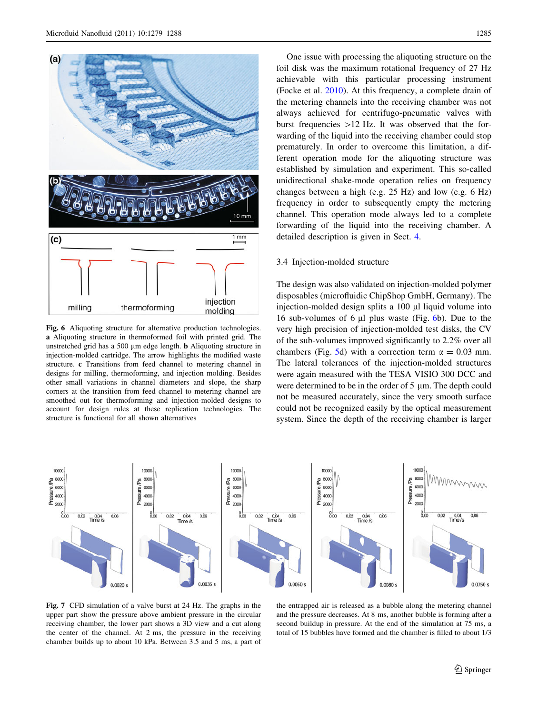<span id="page-6-0"></span>

Fig. 6 Aliquoting structure for alternative production technologies. a Aliquoting structure in thermoformed foil with printed grid. The unstretched grid has a 500  $\mu$ m edge length. **b** Aliquoting structure in injection-molded cartridge. The arrow highlights the modified waste structure. c Transitions from feed channel to metering channel in designs for milling, thermoforming, and injection molding. Besides other small variations in channel diameters and slope, the sharp corners at the transition from feed channel to metering channel are smoothed out for thermoforming and injection-molded designs to account for design rules at these replication technologies. The structure is functional for all shown alternatives

One issue with processing the aliquoting structure on the foil disk was the maximum rotational frequency of 27 Hz achievable with this particular processing instrument (Focke et al. [2010](#page-8-0)). At this frequency, a complete drain of the metering channels into the receiving chamber was not always achieved for centrifugo-pneumatic valves with burst frequencies  $>12$  Hz. It was observed that the forwarding of the liquid into the receiving chamber could stop prematurely. In order to overcome this limitation, a different operation mode for the aliquoting structure was established by simulation and experiment. This so-called unidirectional shake-mode operation relies on frequency changes between a high (e.g. 25 Hz) and low (e.g. 6 Hz) frequency in order to subsequently empty the metering channel. This operation mode always led to a complete forwarding of the liquid into the receiving chamber. A detailed description is given in Sect. [4.](#page-7-0)

# 3.4 Injection-molded structure

The design was also validated on injection-molded polymer disposables (microfluidic ChipShop GmbH, Germany). The injection-molded design splits a 100 µl liquid volume into 16 sub-volumes of 6  $\mu$ l plus waste (Fig. 6b). Due to the very high precision of injection-molded test disks, the CV of the sub-volumes improved significantly to 2.2% over all chambers (Fig. [5d](#page-5-0)) with a correction term  $\alpha = 0.03$  mm. The lateral tolerances of the injection-molded structures were again measured with the TESA VISIO 300 DCC and were determined to be in the order of  $5 \mu m$ . The depth could not be measured accurately, since the very smooth surface could not be recognized easily by the optical measurement system. Since the depth of the receiving chamber is larger



Fig. 7 CFD simulation of a valve burst at 24 Hz. The graphs in the upper part show the pressure above ambient pressure in the circular receiving chamber, the lower part shows a 3D view and a cut along the center of the channel. At 2 ms, the pressure in the receiving chamber builds up to about 10 kPa. Between 3.5 and 5 ms, a part of

the entrapped air is released as a bubble along the metering channel and the pressure decreases. At 8 ms, another bubble is forming after a second buildup in pressure. At the end of the simulation at 75 ms, a total of 15 bubbles have formed and the chamber is filled to about 1/3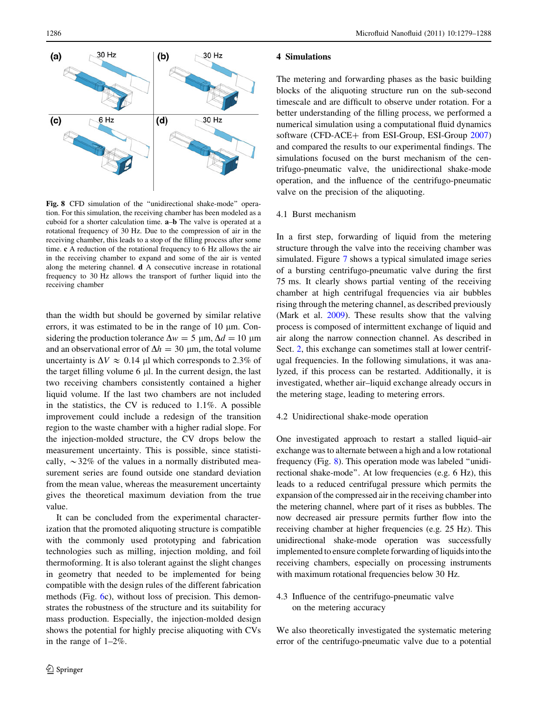<span id="page-7-0"></span>

Fig. 8 CFD simulation of the "unidirectional shake-mode" operation. For this simulation, the receiving chamber has been modeled as a cuboid for a shorter calculation time. **a–b** The valve is operated at a rotational frequency of 30 Hz. Due to the compression of air in the receiving chamber, this leads to a stop of the filling process after some time. c A reduction of the rotational frequency to 6 Hz allows the air in the receiving chamber to expand and some of the air is vented along the metering channel. d A consecutive increase in rotational frequency to 30 Hz allows the transport of further liquid into the receiving chamber

than the width but should be governed by similar relative errors, it was estimated to be in the range of  $10 \mu m$ . Considering the production tolerance  $\Delta w = 5 \text{ µm}, \Delta d = 10 \text{ µm}$ and an observational error of  $\Delta h = 30 \, \mu \text{m}$ , the total volume uncertainty is  $\Delta V \approx 0.14$  µl which corresponds to 2.3% of the target filling volume  $6 \mu l$ . In the current design, the last two receiving chambers consistently contained a higher liquid volume. If the last two chambers are not included in the statistics, the CV is reduced to 1.1%. A possible improvement could include a redesign of the transition region to the waste chamber with a higher radial slope. For the injection-molded structure, the CV drops below the measurement uncertainty. This is possible, since statistically,  $\sim$ 32% of the values in a normally distributed measurement series are found outside one standard deviation from the mean value, whereas the measurement uncertainty gives the theoretical maximum deviation from the true value.

It can be concluded from the experimental characterization that the promoted aliquoting structure is compatible with the commonly used prototyping and fabrication technologies such as milling, injection molding, and foil thermoforming. It is also tolerant against the slight changes in geometry that needed to be implemented for being compatible with the design rules of the different fabrication methods (Fig. [6c](#page-6-0)), without loss of precision. This demonstrates the robustness of the structure and its suitability for mass production. Especially, the injection-molded design shows the potential for highly precise aliquoting with CVs in the range of 1–2%.

#### 4 Simulations

The metering and forwarding phases as the basic building blocks of the aliquoting structure run on the sub-second timescale and are difficult to observe under rotation. For a better understanding of the filling process, we performed a numerical simulation using a computational fluid dynamics software (CFD-ACE+ from ESI-Group, ESI-Group  $2007$ ) and compared the results to our experimental findings. The simulations focused on the burst mechanism of the centrifugo-pneumatic valve, the unidirectional shake-mode operation, and the influence of the centrifugo-pneumatic valve on the precision of the aliquoting.

#### 4.1 Burst mechanism

In a first step, forwarding of liquid from the metering structure through the valve into the receiving chamber was simulated. Figure [7](#page-6-0) shows a typical simulated image series of a bursting centrifugo-pneumatic valve during the first 75 ms. It clearly shows partial venting of the receiving chamber at high centrifugal frequencies via air bubbles rising through the metering channel, as described previously (Mark et al. [2009](#page-8-0)). These results show that the valving process is composed of intermittent exchange of liquid and air along the narrow connection channel. As described in Sect. [2,](#page-2-0) this exchange can sometimes stall at lower centrifugal frequencies. In the following simulations, it was analyzed, if this process can be restarted. Additionally, it is investigated, whether air–liquid exchange already occurs in the metering stage, leading to metering errors.

#### 4.2 Unidirectional shake-mode operation

One investigated approach to restart a stalled liquid–air exchange was to alternate between a high and a low rotational frequency (Fig. 8). This operation mode was labeled ''unidirectional shake-mode''. At low frequencies (e.g. 6 Hz), this leads to a reduced centrifugal pressure which permits the expansion of the compressed air in the receiving chamber into the metering channel, where part of it rises as bubbles. The now decreased air pressure permits further flow into the receiving chamber at higher frequencies (e.g. 25 Hz). This unidirectional shake-mode operation was successfully implemented to ensure complete forwarding of liquids into the receiving chambers, especially on processing instruments with maximum rotational frequencies below 30 Hz.

4.3 Influence of the centrifugo-pneumatic valve on the metering accuracy

We also theoretically investigated the systematic metering error of the centrifugo-pneumatic valve due to a potential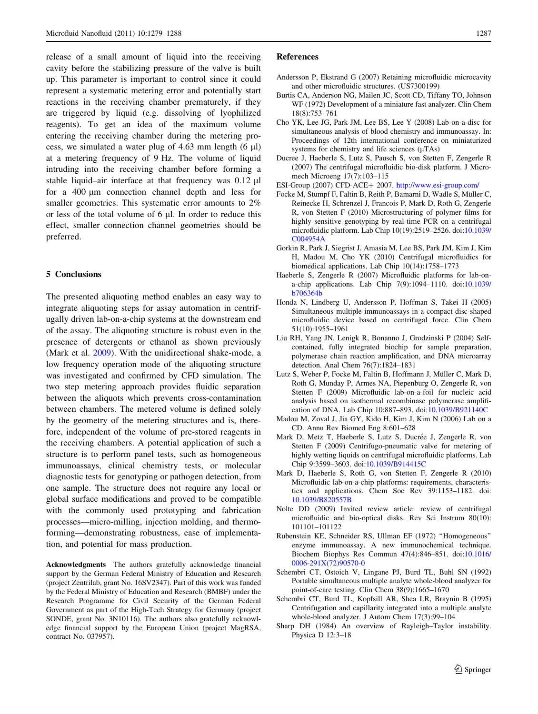<span id="page-8-0"></span>release of a small amount of liquid into the receiving cavity before the stabilizing pressure of the valve is built up. This parameter is important to control since it could represent a systematic metering error and potentially start reactions in the receiving chamber prematurely, if they are triggered by liquid (e.g. dissolving of lyophilized reagents). To get an idea of the maximum volume entering the receiving chamber during the metering process, we simulated a water plug of  $4.63$  mm length  $(6 \mu l)$ at a metering frequency of 9 Hz. The volume of liquid intruding into the receiving chamber before forming a stable liquid–air interface at that frequency was  $0.12 \mu l$ for a  $400 \mu m$  connection channel depth and less for smaller geometries. This systematic error amounts to 2% or less of the total volume of  $6 \mu$ . In order to reduce this effect, smaller connection channel geometries should be preferred.

## 5 Conclusions

The presented aliquoting method enables an easy way to integrate aliquoting steps for assay automation in centrifugally driven lab-on-a-chip systems at the downstream end of the assay. The aliquoting structure is robust even in the presence of detergents or ethanol as shown previously (Mark et al. 2009). With the unidirectional shake-mode, a low frequency operation mode of the aliquoting structure was investigated and confirmed by CFD simulation. The two step metering approach provides fluidic separation between the aliquots which prevents cross-contamination between chambers. The metered volume is defined solely by the geometry of the metering structures and is, therefore, independent of the volume of pre-stored reagents in the receiving chambers. A potential application of such a structure is to perform panel tests, such as homogeneous immunoassays, clinical chemistry tests, or molecular diagnostic tests for genotyping or pathogen detection, from one sample. The structure does not require any local or global surface modifications and proved to be compatible with the commonly used prototyping and fabrication processes—micro-milling, injection molding, and thermoforming—demonstrating robustness, ease of implementation, and potential for mass production.

Acknowledgments The authors gratefully acknowledge financial support by the German Federal Ministry of Education and Research (project Zentrilab, grant No. 16SV2347). Part of this work was funded by the Federal Ministry of Education and Research (BMBF) under the Research Programme for Civil Security of the German Federal Government as part of the High-Tech Strategy for Germany (project SONDE, grant No. 3N10116). The authors also gratefully acknowledge financial support by the European Union (project MagRSA, contract No. 037957).

#### References

- Andersson P, Ekstrand G (2007) Retaining microfluidic microcavity and other microfluidic structures. (US7300199)
- Burtis CA, Anderson NG, Mailen JC, Scott CD, Tiffany TO, Johnson WF (1972) Development of a miniature fast analyzer. Clin Chem 18(8):753–761
- Cho YK, Lee JG, Park JM, Lee BS, Lee Y (2008) Lab-on-a-disc for simultaneous analysis of blood chemistry and immunoassay. In: Proceedings of 12th international conference on miniaturized systems for chemistry and life sciences  $(\mu$ TAs)
- Ducree J, Haeberle S, Lutz S, Pausch S, von Stetten F, Zengerle R (2007) The centrifugal microfluidic bio-disk platform. J Micromech Microeng 17(7):103–115
- ESI-Group (2007) CFD-ACE+ 2007. <http://www.esi-group.com/>
- Focke M, Stumpf F, Faltin B, Reith P, Bamarni D, Wadle S, Müller C, Reinecke H, Schrenzel J, Francois P, Mark D, Roth G, Zengerle R, von Stetten F (2010) Microstructuring of polymer films for highly sensitive genotyping by real-time PCR on a centrifugal microfluidic platform. Lab Chip 10(19):2519–2526. doi[:10.1039/](http://dx.doi.org/10.1039/C004954A) [C004954A](http://dx.doi.org/10.1039/C004954A)
- Gorkin R, Park J, Siegrist J, Amasia M, Lee BS, Park JM, Kim J, Kim H, Madou M, Cho YK (2010) Centrifugal microfluidics for biomedical applications. Lab Chip 10(14):1758–1773
- Haeberle S, Zengerle R (2007) Microfluidic platforms for lab-ona-chip applications. Lab Chip 7(9):1094–1110. doi[:10.1039/](http://dx.doi.org/10.1039/b706364b) [b706364b](http://dx.doi.org/10.1039/b706364b)
- Honda N, Lindberg U, Andersson P, Hoffman S, Takei H (2005) Simultaneous multiple immunoassays in a compact disc-shaped microfluidic device based on centrifugal force. Clin Chem 51(10):1955–1961
- Liu RH, Yang JN, Lenigk R, Bonanno J, Grodzinski P (2004) Selfcontained, fully integrated biochip for sample preparation, polymerase chain reaction amplification, and DNA microarray detection. Anal Chem 76(7):1824–1831
- Lutz S, Weber P, Focke M, Faltin B, Hoffmann J, Müller C, Mark D, Roth G, Munday P, Armes NA, Piepenburg O, Zengerle R, von Stetten F (2009) Microfluidic lab-on-a-foil for nucleic acid analysis based on isothermal recombinase polymerase amplification of DNA. Lab Chip 10:887–893. doi:[10.1039/B921140C](http://dx.doi.org/10.1039/B921140C)
- Madou M, Zoval J, Jia GY, Kido H, Kim J, Kim N (2006) Lab on a CD. Annu Rev Biomed Eng 8:601–628
- Mark D, Metz T, Haeberle S, Lutz S, Ducrée J, Zengerle R, von Stetten F (2009) Centrifugo-pneumatic valve for metering of highly wetting liquids on centrifugal microfluidic platforms. Lab Chip 9:3599–3603. doi[:10.1039/B914415C](http://dx.doi.org/10.1039/B914415C)
- Mark D, Haeberle S, Roth G, von Stetten F, Zengerle R (2010) Microfluidic lab-on-a-chip platforms: requirements, characteristics and applications. Chem Soc Rev 39:1153–1182. doi: [10.1039/B820557B](http://dx.doi.org/10.1039/B820557B)
- Nolte DD (2009) Invited review article: review of centrifugal microfluidic and bio-optical disks. Rev Sci Instrum 80(10): 101101–101122
- Rubenstein KE, Schneider RS, Ullman EF (1972) ''Homogeneous'' enzyme immunoassay. A new immunochemical technique. Biochem Biophys Res Commun 47(4):846–851. doi[:10.1016/](http://dx.doi.org/10.1016/0006-291X(72)90570-0) [0006-291X\(72\)90570-0](http://dx.doi.org/10.1016/0006-291X(72)90570-0)
- Schembri CT, Ostoich V, Lingane PJ, Burd TL, Buhl SN (1992) Portable simultaneous multiple analyte whole-blood analyzer for point-of-care testing. Clin Chem 38(9):1665–1670
- Schembri CT, Burd TL, Kopfsill AR, Shea LR, Braynin B (1995) Centrifugation and capillarity integrated into a multiple analyte whole-blood analyzer. J Autom Chem 17(3):99–104
- Sharp DH (1984) An overview of Rayleigh–Taylor instability. Physica D 12:3–18